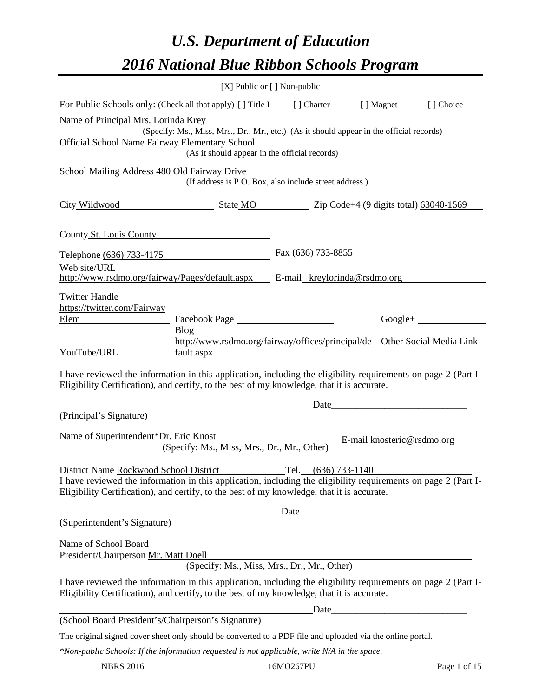# *U.S. Department of Education 2016 National Blue Ribbon Schools Program*

|                                                                                                                                                                                                                                                        |                                                                                          | [X] Public or [] Non-public |                                                                                                                       |                         |
|--------------------------------------------------------------------------------------------------------------------------------------------------------------------------------------------------------------------------------------------------------|------------------------------------------------------------------------------------------|-----------------------------|-----------------------------------------------------------------------------------------------------------------------|-------------------------|
| For Public Schools only: (Check all that apply) [] Title I [] Charter [] Magnet                                                                                                                                                                        |                                                                                          |                             |                                                                                                                       | [] Choice               |
| Name of Principal Mrs. Lorinda Krey                                                                                                                                                                                                                    | (Specify: Ms., Miss, Mrs., Dr., Mr., etc.) (As it should appear in the official records) |                             |                                                                                                                       |                         |
| Official School Name Fairway Elementary School                                                                                                                                                                                                         | (As it should appear in the official records)                                            |                             | <u> 1989 - Johann Stoff, deutscher Stoffen und der Stoffen und der Stoffen und der Stoffen und der Stoffen und de</u> |                         |
| School Mailing Address 480 Old Fairway Drive                                                                                                                                                                                                           | (If address is P.O. Box, also include street address.)                                   |                             |                                                                                                                       |                         |
| City Wildwood State MO Zip Code+4 (9 digits total) 63040-1569                                                                                                                                                                                          |                                                                                          |                             |                                                                                                                       |                         |
| County St. Louis County                                                                                                                                                                                                                                |                                                                                          |                             |                                                                                                                       |                         |
| Telephone (636) 733-4175                                                                                                                                                                                                                               |                                                                                          | Fax $(636)$ 733-8855        |                                                                                                                       |                         |
| Web site/URL<br>http://www.rsdmo.org/fairway/Pages/default.aspx E-mail_kreylorinda@rsdmo.org                                                                                                                                                           |                                                                                          |                             |                                                                                                                       |                         |
| <b>Twitter Handle</b><br>https://twitter.com/Fairway<br>Elem<br><b>Blog</b>                                                                                                                                                                            | http://www.rsdmo.org/fairway/offices/principal/de                                        |                             |                                                                                                                       | Other Social Media Link |
| YouTube/URL https://www.fault.aspx                                                                                                                                                                                                                     |                                                                                          |                             |                                                                                                                       |                         |
| I have reviewed the information in this application, including the eligibility requirements on page 2 (Part I-<br>Eligibility Certification), and certify, to the best of my knowledge, that it is accurate.                                           |                                                                                          |                             |                                                                                                                       |                         |
|                                                                                                                                                                                                                                                        |                                                                                          |                             |                                                                                                                       |                         |
| (Principal's Signature)                                                                                                                                                                                                                                |                                                                                          |                             |                                                                                                                       |                         |
| Name of Superintendent*Dr. Eric Knost                                                                                                                                                                                                                  | (Specify: Ms., Miss, Mrs., Dr., Mr., Other)                                              |                             | E-mail knosteric@rsdmo.org                                                                                            |                         |
| District Name Rockwood School District<br>I have reviewed the information in this application, including the eligibility requirements on page 2 (Part I-<br>Eligibility Certification), and certify, to the best of my knowledge, that it is accurate. |                                                                                          | Tel. $(636)$ 733-1140       |                                                                                                                       |                         |
|                                                                                                                                                                                                                                                        |                                                                                          |                             |                                                                                                                       |                         |
| (Superintendent's Signature)                                                                                                                                                                                                                           |                                                                                          |                             |                                                                                                                       |                         |
| Name of School Board<br>President/Chairperson Mr. Matt Doell                                                                                                                                                                                           | Doen<br>(Specify: Ms., Miss, Mrs., Dr., Mr., Other)                                      |                             |                                                                                                                       |                         |
| I have reviewed the information in this application, including the eligibility requirements on page 2 (Part I-<br>Eligibility Certification), and certify, to the best of my knowledge, that it is accurate.                                           |                                                                                          |                             |                                                                                                                       |                         |
|                                                                                                                                                                                                                                                        |                                                                                          |                             |                                                                                                                       |                         |
| (School Board President's/Chairperson's Signature)                                                                                                                                                                                                     |                                                                                          |                             |                                                                                                                       |                         |
| The original signed cover sheet only should be converted to a PDF file and uploaded via the online portal.<br>*Non-public Schools: If the information requested is not applicable, write N/A in the space.                                             |                                                                                          |                             |                                                                                                                       |                         |
|                                                                                                                                                                                                                                                        |                                                                                          |                             |                                                                                                                       |                         |

NBRS 2016 16MO267PU Page 1 of 15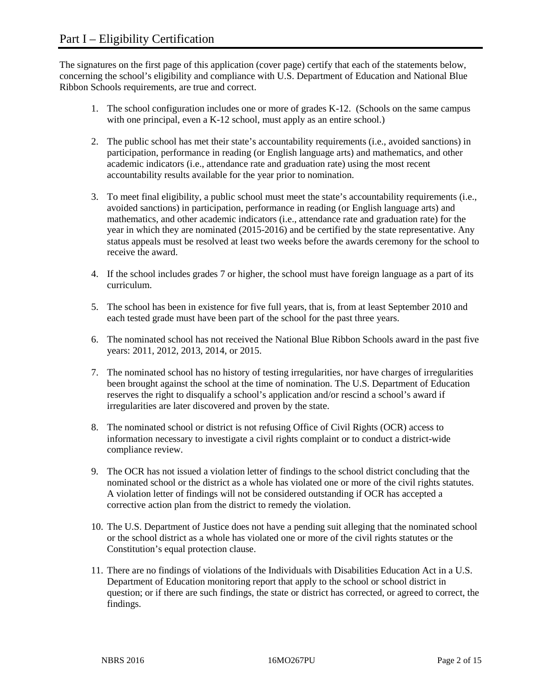The signatures on the first page of this application (cover page) certify that each of the statements below, concerning the school's eligibility and compliance with U.S. Department of Education and National Blue Ribbon Schools requirements, are true and correct.

- 1. The school configuration includes one or more of grades K-12. (Schools on the same campus with one principal, even a K-12 school, must apply as an entire school.)
- 2. The public school has met their state's accountability requirements (i.e., avoided sanctions) in participation, performance in reading (or English language arts) and mathematics, and other academic indicators (i.e., attendance rate and graduation rate) using the most recent accountability results available for the year prior to nomination.
- 3. To meet final eligibility, a public school must meet the state's accountability requirements (i.e., avoided sanctions) in participation, performance in reading (or English language arts) and mathematics, and other academic indicators (i.e., attendance rate and graduation rate) for the year in which they are nominated (2015-2016) and be certified by the state representative. Any status appeals must be resolved at least two weeks before the awards ceremony for the school to receive the award.
- 4. If the school includes grades 7 or higher, the school must have foreign language as a part of its curriculum.
- 5. The school has been in existence for five full years, that is, from at least September 2010 and each tested grade must have been part of the school for the past three years.
- 6. The nominated school has not received the National Blue Ribbon Schools award in the past five years: 2011, 2012, 2013, 2014, or 2015.
- 7. The nominated school has no history of testing irregularities, nor have charges of irregularities been brought against the school at the time of nomination. The U.S. Department of Education reserves the right to disqualify a school's application and/or rescind a school's award if irregularities are later discovered and proven by the state.
- 8. The nominated school or district is not refusing Office of Civil Rights (OCR) access to information necessary to investigate a civil rights complaint or to conduct a district-wide compliance review.
- 9. The OCR has not issued a violation letter of findings to the school district concluding that the nominated school or the district as a whole has violated one or more of the civil rights statutes. A violation letter of findings will not be considered outstanding if OCR has accepted a corrective action plan from the district to remedy the violation.
- 10. The U.S. Department of Justice does not have a pending suit alleging that the nominated school or the school district as a whole has violated one or more of the civil rights statutes or the Constitution's equal protection clause.
- 11. There are no findings of violations of the Individuals with Disabilities Education Act in a U.S. Department of Education monitoring report that apply to the school or school district in question; or if there are such findings, the state or district has corrected, or agreed to correct, the findings.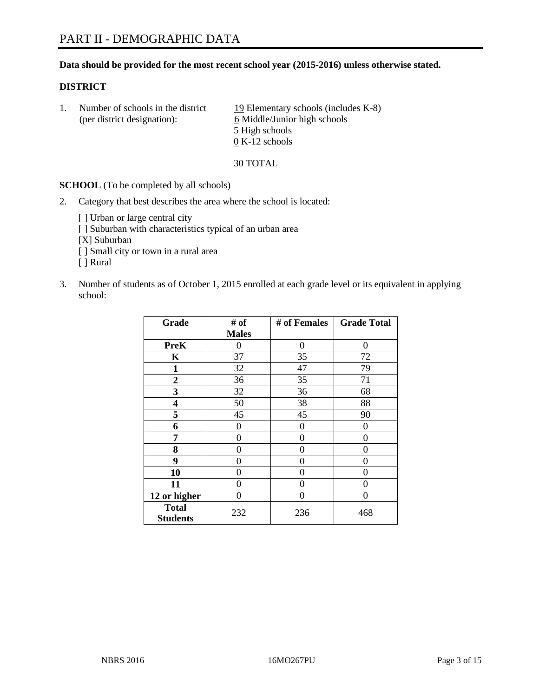### **Data should be provided for the most recent school year (2015-2016) unless otherwise stated.**

### **DISTRICT**

1. Number of schools in the district  $19$  Elementary schools (includes K-8) (per district designation): 6 Middle/Junior high schools 5 High schools 0 K-12 schools

30 TOTAL

**SCHOOL** (To be completed by all schools)

- 2. Category that best describes the area where the school is located:
	- [] Urban or large central city [ ] Suburban with characteristics typical of an urban area [X] Suburban [ ] Small city or town in a rural area [ ] Rural
- 3. Number of students as of October 1, 2015 enrolled at each grade level or its equivalent in applying school:

| Grade                           | # of         | # of Females | <b>Grade Total</b> |
|---------------------------------|--------------|--------------|--------------------|
|                                 | <b>Males</b> |              |                    |
| <b>PreK</b>                     | 0            | 0            | 0                  |
| K                               | 37           | 35           | 72                 |
| 1                               | 32           | 47           | 79                 |
| $\overline{2}$                  | 36           | 35           | 71                 |
| 3                               | 32           | 36           | 68                 |
| 4                               | 50           | 38           | 88                 |
| 5                               | 45           | 45           | 90                 |
| 6                               | 0            | 0            | 0                  |
| 7                               | 0            | 0            | 0                  |
| 8                               | 0            | 0            | 0                  |
| 9                               | 0            | 0            | 0                  |
| 10                              | 0            | 0            | $\theta$           |
| 11                              | 0            | 0            | $\Omega$           |
| 12 or higher                    | 0            | 0            | $\theta$           |
| <b>Total</b><br><b>Students</b> | 232          | 236          | 468                |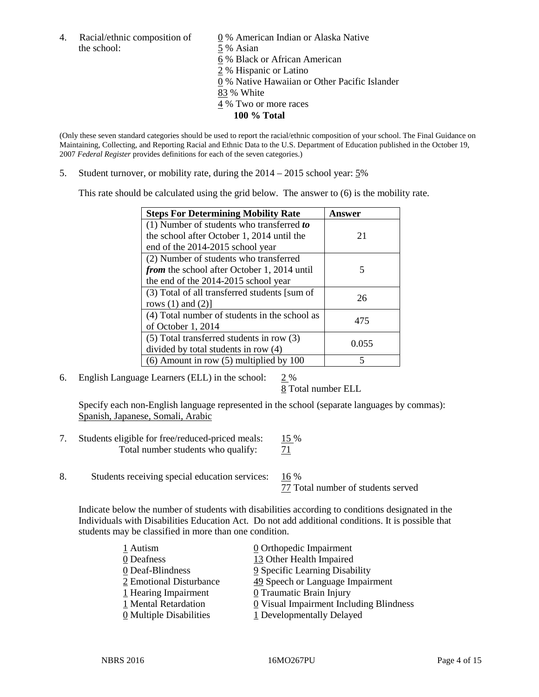4. Racial/ethnic composition of  $\qquad \qquad \underline{0}$  % American Indian or Alaska Native the school: 5 % Asian

 % Black or African American % Hispanic or Latino % Native Hawaiian or Other Pacific Islander 83 % White % Two or more races **100 % Total**

(Only these seven standard categories should be used to report the racial/ethnic composition of your school. The Final Guidance on Maintaining, Collecting, and Reporting Racial and Ethnic Data to the U.S. Department of Education published in the October 19, 2007 *Federal Register* provides definitions for each of the seven categories.)

5. Student turnover, or mobility rate, during the 2014 – 2015 school year: 5%

This rate should be calculated using the grid below. The answer to (6) is the mobility rate.

| <b>Steps For Determining Mobility Rate</b>         | Answer |  |
|----------------------------------------------------|--------|--|
| (1) Number of students who transferred to          |        |  |
| the school after October 1, 2014 until the         | 21     |  |
| end of the 2014-2015 school year                   |        |  |
| (2) Number of students who transferred             |        |  |
| <i>from</i> the school after October 1, 2014 until | 5      |  |
| the end of the 2014-2015 school year               |        |  |
| (3) Total of all transferred students [sum of      | 26     |  |
| rows $(1)$ and $(2)$ ]                             |        |  |
| (4) Total number of students in the school as      | 475    |  |
| of October 1, 2014                                 |        |  |
| $(5)$ Total transferred students in row $(3)$      | 0.055  |  |
| divided by total students in row (4)               |        |  |
| $(6)$ Amount in row $(5)$ multiplied by 100        | 5      |  |

6. English Language Learners (ELL) in the school: 2 %

8 Total number ELL

Specify each non-English language represented in the school (separate languages by commas): Spanish, Japanese, Somali, Arabic

- 7. Students eligible for free/reduced-priced meals: 15 % Total number students who qualify:  $\frac{71}{2}$
- 8. Students receiving special education services: 16 %

77 Total number of students served

Indicate below the number of students with disabilities according to conditions designated in the Individuals with Disabilities Education Act. Do not add additional conditions. It is possible that students may be classified in more than one condition.

| 1 Autism                              | $\underline{0}$ Orthopedic Impairment   |
|---------------------------------------|-----------------------------------------|
| 0 Deafness                            | 13 Other Health Impaired                |
| 0 Deaf-Blindness                      | 9 Specific Learning Disability          |
| 2 Emotional Disturbance               | 49 Speech or Language Impairment        |
| 1 Hearing Impairment                  | 0 Traumatic Brain Injury                |
| 1 Mental Retardation                  | 0 Visual Impairment Including Blindness |
| $\underline{0}$ Multiple Disabilities | 1 Developmentally Delayed               |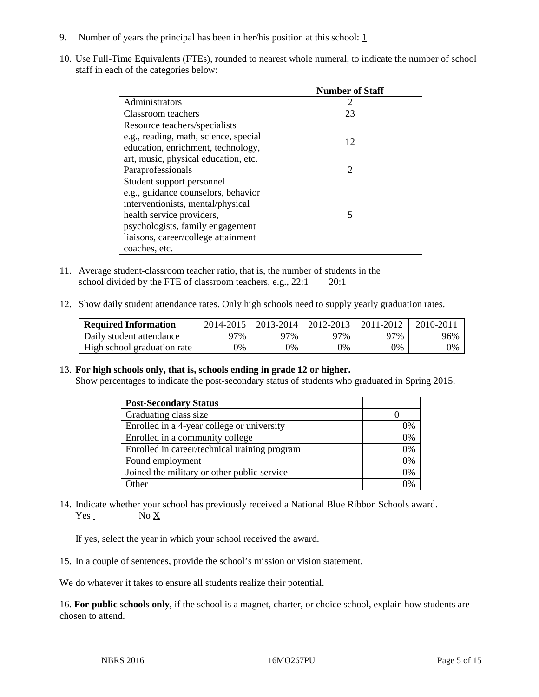- 9. Number of years the principal has been in her/his position at this school:  $1$
- 10. Use Full-Time Equivalents (FTEs), rounded to nearest whole numeral, to indicate the number of school staff in each of the categories below:

|                                       | <b>Number of Staff</b> |
|---------------------------------------|------------------------|
| Administrators                        |                        |
| Classroom teachers                    | 23                     |
| Resource teachers/specialists         |                        |
| e.g., reading, math, science, special | 12                     |
| education, enrichment, technology,    |                        |
| art, music, physical education, etc.  |                        |
| Paraprofessionals                     | $\mathcal{D}$          |
| Student support personnel             |                        |
| e.g., guidance counselors, behavior   |                        |
| interventionists, mental/physical     |                        |
| health service providers,             | 5                      |
| psychologists, family engagement      |                        |
| liaisons, career/college attainment   |                        |
| coaches, etc.                         |                        |

- 11. Average student-classroom teacher ratio, that is, the number of students in the school divided by the FTE of classroom teachers, e.g., 22:1 20:1
- 12. Show daily student attendance rates. Only high schools need to supply yearly graduation rates.

| <b>Required Information</b> | 2014-2015 | 2013-2014  | 2012-2013  | 2011-2012 | 2010-2011 |
|-----------------------------|-----------|------------|------------|-----------|-----------|
| Daily student attendance    | 97%       | 97%        | 97%        | 77%       | 96%       |
| High school graduation rate | $9\%$     | $\gamma\%$ | $\gamma\%$ | 9%        | 0%        |

13. **For high schools only, that is, schools ending in grade 12 or higher.** 

Show percentages to indicate the post-secondary status of students who graduated in Spring 2015.

| <b>Post-Secondary Status</b>                  |    |
|-----------------------------------------------|----|
| Graduating class size                         |    |
| Enrolled in a 4-year college or university    | 0% |
| Enrolled in a community college               | 0% |
| Enrolled in career/technical training program | 0% |
| Found employment                              | 0% |
| Joined the military or other public service   | 0% |
| Other                                         | 0% |

14. Indicate whether your school has previously received a National Blue Ribbon Schools award. Yes No X

If yes, select the year in which your school received the award.

15. In a couple of sentences, provide the school's mission or vision statement.

We do whatever it takes to ensure all students realize their potential.

16. **For public schools only**, if the school is a magnet, charter, or choice school, explain how students are chosen to attend.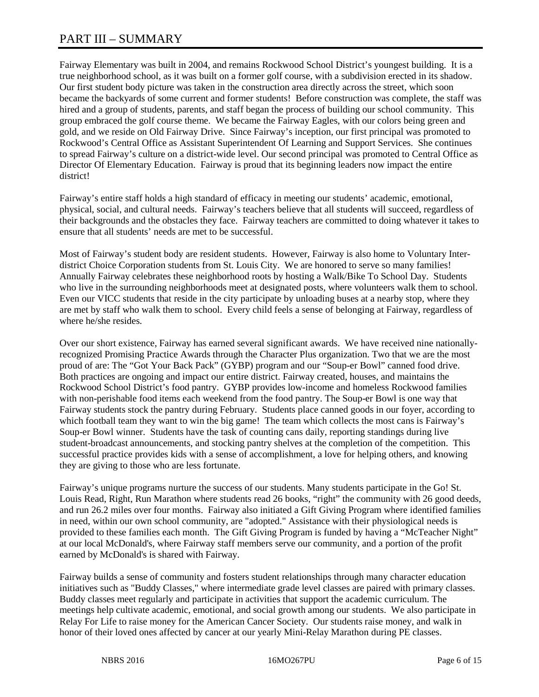# PART III – SUMMARY

Fairway Elementary was built in 2004, and remains Rockwood School District's youngest building. It is a true neighborhood school, as it was built on a former golf course, with a subdivision erected in its shadow. Our first student body picture was taken in the construction area directly across the street, which soon became the backyards of some current and former students! Before construction was complete, the staff was hired and a group of students, parents, and staff began the process of building our school community. This group embraced the golf course theme. We became the Fairway Eagles, with our colors being green and gold, and we reside on Old Fairway Drive. Since Fairway's inception, our first principal was promoted to Rockwood's Central Office as Assistant Superintendent Of Learning and Support Services. She continues to spread Fairway's culture on a district-wide level. Our second principal was promoted to Central Office as Director Of Elementary Education. Fairway is proud that its beginning leaders now impact the entire district!

Fairway's entire staff holds a high standard of efficacy in meeting our students' academic, emotional, physical, social, and cultural needs. Fairway's teachers believe that all students will succeed, regardless of their backgrounds and the obstacles they face. Fairway teachers are committed to doing whatever it takes to ensure that all students' needs are met to be successful.

Most of Fairway's student body are resident students. However, Fairway is also home to Voluntary Interdistrict Choice Corporation students from St. Louis City. We are honored to serve so many families! Annually Fairway celebrates these neighborhood roots by hosting a Walk/Bike To School Day. Students who live in the surrounding neighborhoods meet at designated posts, where volunteers walk them to school. Even our VICC students that reside in the city participate by unloading buses at a nearby stop, where they are met by staff who walk them to school. Every child feels a sense of belonging at Fairway, regardless of where he/she resides.

Over our short existence, Fairway has earned several significant awards. We have received nine nationallyrecognized Promising Practice Awards through the Character Plus organization. Two that we are the most proud of are: The "Got Your Back Pack" (GYBP) program and our "Soup-er Bowl" canned food drive. Both practices are ongoing and impact our entire district. Fairway created, houses, and maintains the Rockwood School District's food pantry. GYBP provides low-income and homeless Rockwood families with non-perishable food items each weekend from the food pantry. The Soup-er Bowl is one way that Fairway students stock the pantry during February. Students place canned goods in our foyer, according to which football team they want to win the big game! The team which collects the most cans is Fairway's Soup-er Bowl winner. Students have the task of counting cans daily, reporting standings during live student-broadcast announcements, and stocking pantry shelves at the completion of the competition. This successful practice provides kids with a sense of accomplishment, a love for helping others, and knowing they are giving to those who are less fortunate.

Fairway's unique programs nurture the success of our students. Many students participate in the Go! St. Louis Read, Right, Run Marathon where students read 26 books, "right" the community with 26 good deeds, and run 26.2 miles over four months. Fairway also initiated a Gift Giving Program where identified families in need, within our own school community, are "adopted." Assistance with their physiological needs is provided to these families each month. The Gift Giving Program is funded by having a "McTeacher Night" at our local McDonald's, where Fairway staff members serve our community, and a portion of the profit earned by McDonald's is shared with Fairway.

Fairway builds a sense of community and fosters student relationships through many character education initiatives such as "Buddy Classes," where intermediate grade level classes are paired with primary classes. Buddy classes meet regularly and participate in activities that support the academic curriculum. The meetings help cultivate academic, emotional, and social growth among our students. We also participate in Relay For Life to raise money for the American Cancer Society. Our students raise money, and walk in honor of their loved ones affected by cancer at our yearly Mini-Relay Marathon during PE classes.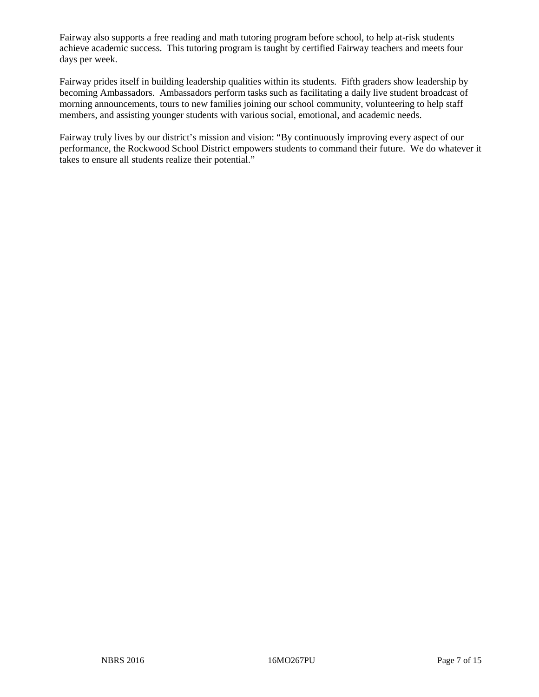Fairway also supports a free reading and math tutoring program before school, to help at-risk students achieve academic success. This tutoring program is taught by certified Fairway teachers and meets four days per week.

Fairway prides itself in building leadership qualities within its students. Fifth graders show leadership by becoming Ambassadors. Ambassadors perform tasks such as facilitating a daily live student broadcast of morning announcements, tours to new families joining our school community, volunteering to help staff members, and assisting younger students with various social, emotional, and academic needs.

Fairway truly lives by our district's mission and vision: "By continuously improving every aspect of our performance, the Rockwood School District empowers students to command their future. We do whatever it takes to ensure all students realize their potential."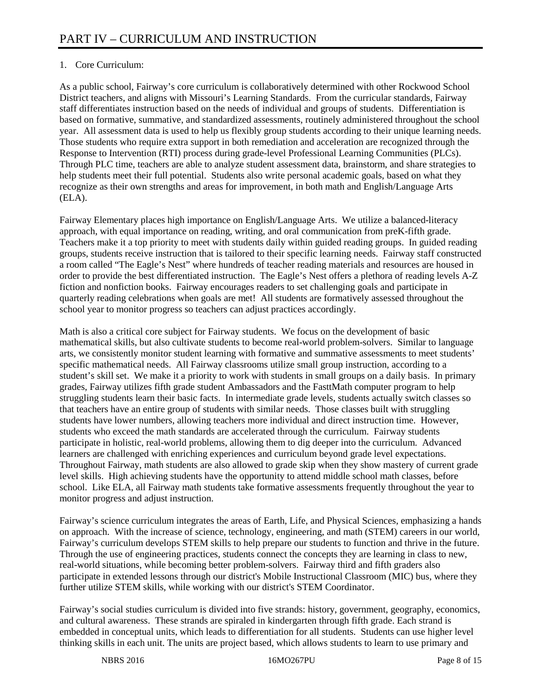# 1. Core Curriculum:

As a public school, Fairway's core curriculum is collaboratively determined with other Rockwood School District teachers, and aligns with Missouri's Learning Standards. From the curricular standards, Fairway staff differentiates instruction based on the needs of individual and groups of students. Differentiation is based on formative, summative, and standardized assessments, routinely administered throughout the school year. All assessment data is used to help us flexibly group students according to their unique learning needs. Those students who require extra support in both remediation and acceleration are recognized through the Response to Intervention (RTI) process during grade-level Professional Learning Communities (PLCs). Through PLC time, teachers are able to analyze student assessment data, brainstorm, and share strategies to help students meet their full potential. Students also write personal academic goals, based on what they recognize as their own strengths and areas for improvement, in both math and English/Language Arts (ELA).

Fairway Elementary places high importance on English/Language Arts. We utilize a balanced-literacy approach, with equal importance on reading, writing, and oral communication from preK-fifth grade. Teachers make it a top priority to meet with students daily within guided reading groups. In guided reading groups, students receive instruction that is tailored to their specific learning needs. Fairway staff constructed a room called "The Eagle's Nest" where hundreds of teacher reading materials and resources are housed in order to provide the best differentiated instruction. The Eagle's Nest offers a plethora of reading levels A-Z fiction and nonfiction books. Fairway encourages readers to set challenging goals and participate in quarterly reading celebrations when goals are met! All students are formatively assessed throughout the school year to monitor progress so teachers can adjust practices accordingly.

Math is also a critical core subject for Fairway students. We focus on the development of basic mathematical skills, but also cultivate students to become real-world problem-solvers. Similar to language arts, we consistently monitor student learning with formative and summative assessments to meet students' specific mathematical needs. All Fairway classrooms utilize small group instruction, according to a student's skill set. We make it a priority to work with students in small groups on a daily basis. In primary grades, Fairway utilizes fifth grade student Ambassadors and the FasttMath computer program to help struggling students learn their basic facts. In intermediate grade levels, students actually switch classes so that teachers have an entire group of students with similar needs. Those classes built with struggling students have lower numbers, allowing teachers more individual and direct instruction time. However, students who exceed the math standards are accelerated through the curriculum. Fairway students participate in holistic, real-world problems, allowing them to dig deeper into the curriculum. Advanced learners are challenged with enriching experiences and curriculum beyond grade level expectations. Throughout Fairway, math students are also allowed to grade skip when they show mastery of current grade level skills. High achieving students have the opportunity to attend middle school math classes, before school. Like ELA, all Fairway math students take formative assessments frequently throughout the year to monitor progress and adjust instruction.

Fairway's science curriculum integrates the areas of Earth, Life, and Physical Sciences, emphasizing a hands on approach. With the increase of science, technology, engineering, and math (STEM) careers in our world, Fairway's curriculum develops STEM skills to help prepare our students to function and thrive in the future. Through the use of engineering practices, students connect the concepts they are learning in class to new, real-world situations, while becoming better problem-solvers. Fairway third and fifth graders also participate in extended lessons through our district's Mobile Instructional Classroom (MIC) bus, where they further utilize STEM skills, while working with our district's STEM Coordinator.

Fairway's social studies curriculum is divided into five strands: history, government, geography, economics, and cultural awareness. These strands are spiraled in kindergarten through fifth grade. Each strand is embedded in conceptual units, which leads to differentiation for all students. Students can use higher level thinking skills in each unit. The units are project based, which allows students to learn to use primary and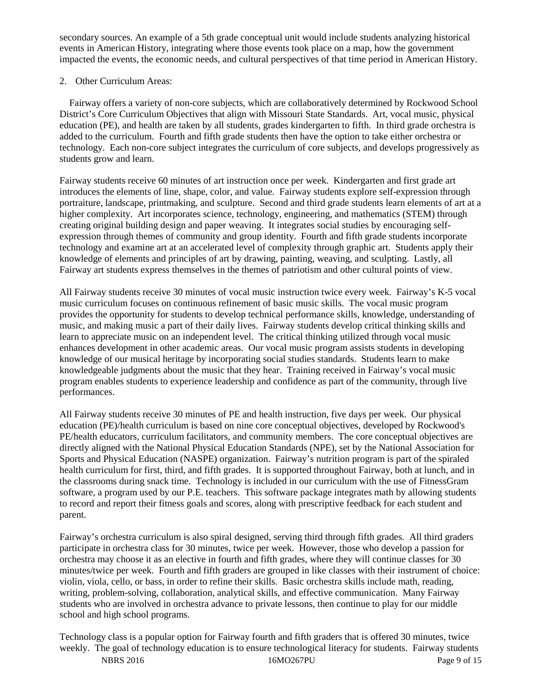secondary sources. An example of a 5th grade conceptual unit would include students analyzing historical events in American History, integrating where those events took place on a map, how the government impacted the events, the economic needs, and cultural perspectives of that time period in American History.

### 2. Other Curriculum Areas:

 Fairway offers a variety of non-core subjects, which are collaboratively determined by Rockwood School District's Core Curriculum Objectives that align with Missouri State Standards. Art, vocal music, physical education (PE), and health are taken by all students, grades kindergarten to fifth. In third grade orchestra is added to the curriculum. Fourth and fifth grade students then have the option to take either orchestra or technology. Each non-core subject integrates the curriculum of core subjects, and develops progressively as students grow and learn.

Fairway students receive 60 minutes of art instruction once per week. Kindergarten and first grade art introduces the elements of line, shape, color, and value. Fairway students explore self-expression through portraiture, landscape, printmaking, and sculpture. Second and third grade students learn elements of art at a higher complexity. Art incorporates science, technology, engineering, and mathematics (STEM) through creating original building design and paper weaving. It integrates social studies by encouraging selfexpression through themes of community and group identity. Fourth and fifth grade students incorporate technology and examine art at an accelerated level of complexity through graphic art. Students apply their knowledge of elements and principles of art by drawing, painting, weaving, and sculpting. Lastly, all Fairway art students express themselves in the themes of patriotism and other cultural points of view.

All Fairway students receive 30 minutes of vocal music instruction twice every week. Fairway's K-5 vocal music curriculum focuses on continuous refinement of basic music skills. The vocal music program provides the opportunity for students to develop technical performance skills, knowledge, understanding of music, and making music a part of their daily lives. Fairway students develop critical thinking skills and learn to appreciate music on an independent level. The critical thinking utilized through vocal music enhances development in other academic areas. Our vocal music program assists students in developing knowledge of our musical heritage by incorporating social studies standards. Students learn to make knowledgeable judgments about the music that they hear. Training received in Fairway's vocal music program enables students to experience leadership and confidence as part of the community, through live performances.

All Fairway students receive 30 minutes of PE and health instruction, five days per week. Our physical education (PE)/health curriculum is based on nine core conceptual objectives, developed by Rockwood's PE/health educators, curriculum facilitators, and community members. The core conceptual objectives are directly aligned with the National Physical Education Standards (NPE), set by the National Association for Sports and Physical Education (NASPE) organization. Fairway's nutrition program is part of the spiraled health curriculum for first, third, and fifth grades. It is supported throughout Fairway, both at lunch, and in the classrooms during snack time. Technology is included in our curriculum with the use of FitnessGram software, a program used by our P.E. teachers. This software package integrates math by allowing students to record and report their fitness goals and scores, along with prescriptive feedback for each student and parent.

Fairway's orchestra curriculum is also spiral designed, serving third through fifth grades. All third graders participate in orchestra class for 30 minutes, twice per week. However, those who develop a passion for orchestra may choose it as an elective in fourth and fifth grades, where they will continue classes for 30 minutes/twice per week. Fourth and fifth graders are grouped in like classes with their instrument of choice: violin, viola, cello, or bass, in order to refine their skills. Basic orchestra skills include math, reading, writing, problem-solving, collaboration, analytical skills, and effective communication. Many Fairway students who are involved in orchestra advance to private lessons, then continue to play for our middle school and high school programs.

NBRS 2016 **16MO267PU** Page 9 of 15 Technology class is a popular option for Fairway fourth and fifth graders that is offered 30 minutes, twice weekly. The goal of technology education is to ensure technological literacy for students. Fairway students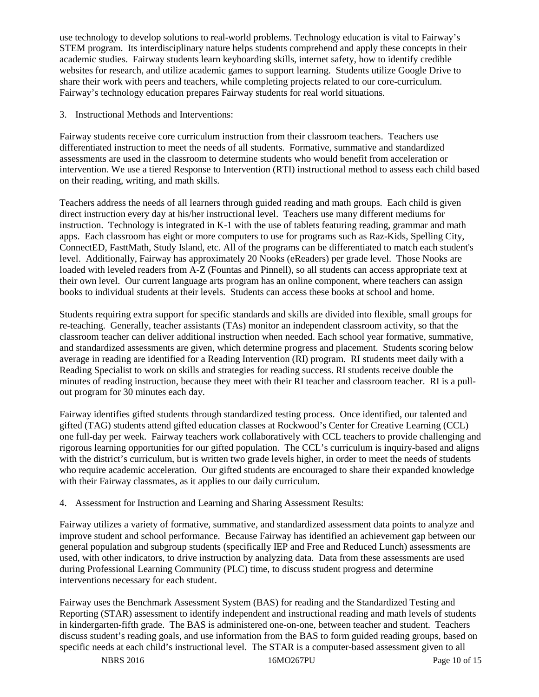use technology to develop solutions to real-world problems. Technology education is vital to Fairway's STEM program. Its interdisciplinary nature helps students comprehend and apply these concepts in their academic studies. Fairway students learn keyboarding skills, internet safety, how to identify credible websites for research, and utilize academic games to support learning. Students utilize Google Drive to share their work with peers and teachers, while completing projects related to our core-curriculum. Fairway's technology education prepares Fairway students for real world situations.

3. Instructional Methods and Interventions:

Fairway students receive core curriculum instruction from their classroom teachers. Teachers use differentiated instruction to meet the needs of all students. Formative, summative and standardized assessments are used in the classroom to determine students who would benefit from acceleration or intervention. We use a tiered Response to Intervention (RTI) instructional method to assess each child based on their reading, writing, and math skills.

Teachers address the needs of all learners through guided reading and math groups. Each child is given direct instruction every day at his/her instructional level. Teachers use many different mediums for instruction. Technology is integrated in K-1 with the use of tablets featuring reading, grammar and math apps. Each classroom has eight or more computers to use for programs such as Raz-Kids, Spelling City, ConnectED, FasttMath, Study Island, etc. All of the programs can be differentiated to match each student's level. Additionally, Fairway has approximately 20 Nooks (eReaders) per grade level. Those Nooks are loaded with leveled readers from A-Z (Fountas and Pinnell), so all students can access appropriate text at their own level. Our current language arts program has an online component, where teachers can assign books to individual students at their levels. Students can access these books at school and home.

Students requiring extra support for specific standards and skills are divided into flexible, small groups for re-teaching. Generally, teacher assistants (TAs) monitor an independent classroom activity, so that the classroom teacher can deliver additional instruction when needed. Each school year formative, summative, and standardized assessments are given, which determine progress and placement. Students scoring below average in reading are identified for a Reading Intervention (RI) program. RI students meet daily with a Reading Specialist to work on skills and strategies for reading success. RI students receive double the minutes of reading instruction, because they meet with their RI teacher and classroom teacher. RI is a pullout program for 30 minutes each day.

Fairway identifies gifted students through standardized testing process. Once identified, our talented and gifted (TAG) students attend gifted education classes at Rockwood's Center for Creative Learning (CCL) one full-day per week. Fairway teachers work collaboratively with CCL teachers to provide challenging and rigorous learning opportunities for our gifted population. The CCL's curriculum is inquiry-based and aligns with the district's curriculum, but is written two grade levels higher, in order to meet the needs of students who require academic acceleration. Our gifted students are encouraged to share their expanded knowledge with their Fairway classmates, as it applies to our daily curriculum.

# 4. Assessment for Instruction and Learning and Sharing Assessment Results:

Fairway utilizes a variety of formative, summative, and standardized assessment data points to analyze and improve student and school performance. Because Fairway has identified an achievement gap between our general population and subgroup students (specifically IEP and Free and Reduced Lunch) assessments are used, with other indicators, to drive instruction by analyzing data. Data from these assessments are used during Professional Learning Community (PLC) time, to discuss student progress and determine interventions necessary for each student.

Fairway uses the Benchmark Assessment System (BAS) for reading and the Standardized Testing and Reporting (STAR) assessment to identify independent and instructional reading and math levels of students in kindergarten-fifth grade. The BAS is administered one-on-one, between teacher and student. Teachers discuss student's reading goals, and use information from the BAS to form guided reading groups, based on specific needs at each child's instructional level. The STAR is a computer-based assessment given to all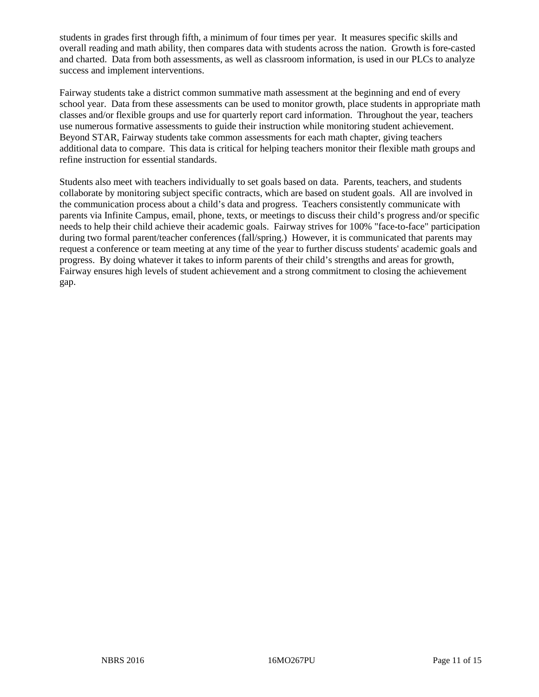students in grades first through fifth, a minimum of four times per year. It measures specific skills and overall reading and math ability, then compares data with students across the nation. Growth is fore-casted and charted. Data from both assessments, as well as classroom information, is used in our PLCs to analyze success and implement interventions.

Fairway students take a district common summative math assessment at the beginning and end of every school year. Data from these assessments can be used to monitor growth, place students in appropriate math classes and/or flexible groups and use for quarterly report card information. Throughout the year, teachers use numerous formative assessments to guide their instruction while monitoring student achievement. Beyond STAR, Fairway students take common assessments for each math chapter, giving teachers additional data to compare. This data is critical for helping teachers monitor their flexible math groups and refine instruction for essential standards.

Students also meet with teachers individually to set goals based on data. Parents, teachers, and students collaborate by monitoring subject specific contracts, which are based on student goals. All are involved in the communication process about a child's data and progress. Teachers consistently communicate with parents via Infinite Campus, email, phone, texts, or meetings to discuss their child's progress and/or specific needs to help their child achieve their academic goals. Fairway strives for 100% "face-to-face" participation during two formal parent/teacher conferences (fall/spring.) However, it is communicated that parents may request a conference or team meeting at any time of the year to further discuss students' academic goals and progress. By doing whatever it takes to inform parents of their child's strengths and areas for growth, Fairway ensures high levels of student achievement and a strong commitment to closing the achievement gap.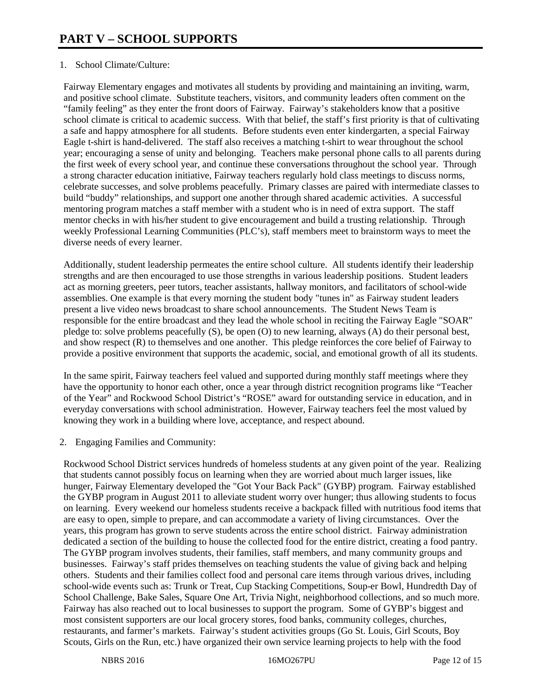# 1. School Climate/Culture:

Fairway Elementary engages and motivates all students by providing and maintaining an inviting, warm, and positive school climate. Substitute teachers, visitors, and community leaders often comment on the "family feeling" as they enter the front doors of Fairway. Fairway's stakeholders know that a positive school climate is critical to academic success. With that belief, the staff's first priority is that of cultivating a safe and happy atmosphere for all students. Before students even enter kindergarten, a special Fairway Eagle t-shirt is hand-delivered. The staff also receives a matching t-shirt to wear throughout the school year; encouraging a sense of unity and belonging. Teachers make personal phone calls to all parents during the first week of every school year, and continue these conversations throughout the school year. Through a strong character education initiative, Fairway teachers regularly hold class meetings to discuss norms, celebrate successes, and solve problems peacefully. Primary classes are paired with intermediate classes to build "buddy" relationships, and support one another through shared academic activities. A successful mentoring program matches a staff member with a student who is in need of extra support. The staff mentor checks in with his/her student to give encouragement and build a trusting relationship. Through weekly Professional Learning Communities (PLC's), staff members meet to brainstorm ways to meet the diverse needs of every learner.

Additionally, student leadership permeates the entire school culture. All students identify their leadership strengths and are then encouraged to use those strengths in various leadership positions. Student leaders act as morning greeters, peer tutors, teacher assistants, hallway monitors, and facilitators of school-wide assemblies. One example is that every morning the student body "tunes in" as Fairway student leaders present a live video news broadcast to share school announcements. The Student News Team is responsible for the entire broadcast and they lead the whole school in reciting the Fairway Eagle "SOAR" pledge to: solve problems peacefully (S), be open (O) to new learning, always (A) do their personal best, and show respect (R) to themselves and one another. This pledge reinforces the core belief of Fairway to provide a positive environment that supports the academic, social, and emotional growth of all its students.

In the same spirit, Fairway teachers feel valued and supported during monthly staff meetings where they have the opportunity to honor each other, once a year through district recognition programs like "Teacher of the Year" and Rockwood School District's "ROSE" award for outstanding service in education, and in everyday conversations with school administration. However, Fairway teachers feel the most valued by knowing they work in a building where love, acceptance, and respect abound.

2. Engaging Families and Community:

Rockwood School District services hundreds of homeless students at any given point of the year. Realizing that students cannot possibly focus on learning when they are worried about much larger issues, like hunger, Fairway Elementary developed the "Got Your Back Pack" (GYBP) program. Fairway established the GYBP program in August 2011 to alleviate student worry over hunger; thus allowing students to focus on learning. Every weekend our homeless students receive a backpack filled with nutritious food items that are easy to open, simple to prepare, and can accommodate a variety of living circumstances. Over the years, this program has grown to serve students across the entire school district. Fairway administration dedicated a section of the building to house the collected food for the entire district, creating a food pantry. The GYBP program involves students, their families, staff members, and many community groups and businesses. Fairway's staff prides themselves on teaching students the value of giving back and helping others. Students and their families collect food and personal care items through various drives, including school-wide events such as: Trunk or Treat, Cup Stacking Competitions, Soup-er Bowl, Hundredth Day of School Challenge, Bake Sales, Square One Art, Trivia Night, neighborhood collections, and so much more. Fairway has also reached out to local businesses to support the program. Some of GYBP's biggest and most consistent supporters are our local grocery stores, food banks, community colleges, churches, restaurants, and farmer's markets. Fairway's student activities groups (Go St. Louis, Girl Scouts, Boy Scouts, Girls on the Run, etc.) have organized their own service learning projects to help with the food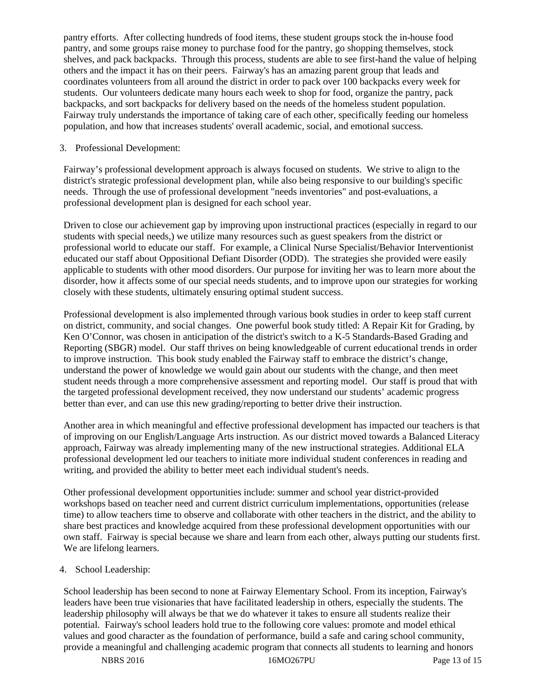pantry efforts. After collecting hundreds of food items, these student groups stock the in-house food pantry, and some groups raise money to purchase food for the pantry, go shopping themselves, stock shelves, and pack backpacks. Through this process, students are able to see first-hand the value of helping others and the impact it has on their peers. Fairway's has an amazing parent group that leads and coordinates volunteers from all around the district in order to pack over 100 backpacks every week for students. Our volunteers dedicate many hours each week to shop for food, organize the pantry, pack backpacks, and sort backpacks for delivery based on the needs of the homeless student population. Fairway truly understands the importance of taking care of each other, specifically feeding our homeless population, and how that increases students' overall academic, social, and emotional success.

## 3. Professional Development:

Fairway's professional development approach is always focused on students. We strive to align to the district's strategic professional development plan, while also being responsive to our building's specific needs. Through the use of professional development "needs inventories" and post-evaluations, a professional development plan is designed for each school year.

Driven to close our achievement gap by improving upon instructional practices (especially in regard to our students with special needs,) we utilize many resources such as guest speakers from the district or professional world to educate our staff. For example, a Clinical Nurse Specialist/Behavior Interventionist educated our staff about Oppositional Defiant Disorder (ODD). The strategies she provided were easily applicable to students with other mood disorders. Our purpose for inviting her was to learn more about the disorder, how it affects some of our special needs students, and to improve upon our strategies for working closely with these students, ultimately ensuring optimal student success.

Professional development is also implemented through various book studies in order to keep staff current on district, community, and social changes. One powerful book study titled: A Repair Kit for Grading, by Ken O'Connor, was chosen in anticipation of the district's switch to a K-5 Standards-Based Grading and Reporting (SBGR) model. Our staff thrives on being knowledgeable of current educational trends in order to improve instruction. This book study enabled the Fairway staff to embrace the district's change, understand the power of knowledge we would gain about our students with the change, and then meet student needs through a more comprehensive assessment and reporting model. Our staff is proud that with the targeted professional development received, they now understand our students' academic progress better than ever, and can use this new grading/reporting to better drive their instruction.

Another area in which meaningful and effective professional development has impacted our teachers is that of improving on our English/Language Arts instruction. As our district moved towards a Balanced Literacy approach, Fairway was already implementing many of the new instructional strategies. Additional ELA professional development led our teachers to initiate more individual student conferences in reading and writing, and provided the ability to better meet each individual student's needs.

Other professional development opportunities include: summer and school year district-provided workshops based on teacher need and current district curriculum implementations, opportunities (release time) to allow teachers time to observe and collaborate with other teachers in the district, and the ability to share best practices and knowledge acquired from these professional development opportunities with our own staff. Fairway is special because we share and learn from each other, always putting our students first. We are lifelong learners.

4. School Leadership:

School leadership has been second to none at Fairway Elementary School. From its inception, Fairway's leaders have been true visionaries that have facilitated leadership in others, especially the students. The leadership philosophy will always be that we do whatever it takes to ensure all students realize their potential. Fairway's school leaders hold true to the following core values: promote and model ethical values and good character as the foundation of performance, build a safe and caring school community, provide a meaningful and challenging academic program that connects all students to learning and honors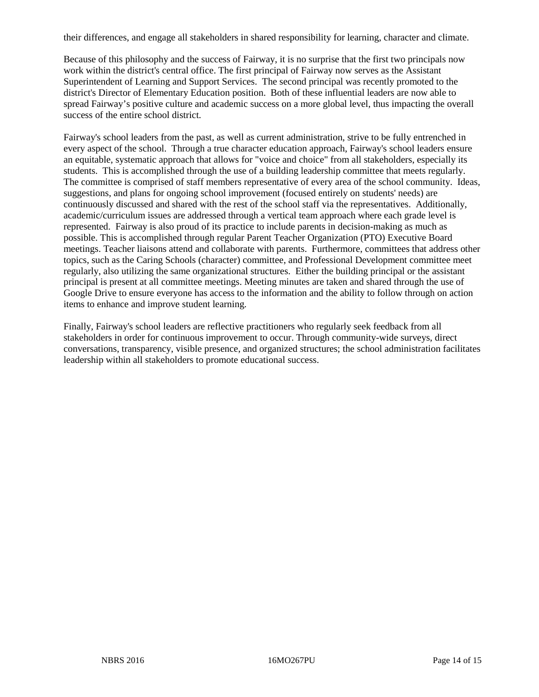their differences, and engage all stakeholders in shared responsibility for learning, character and climate.

Because of this philosophy and the success of Fairway, it is no surprise that the first two principals now work within the district's central office. The first principal of Fairway now serves as the Assistant Superintendent of Learning and Support Services. The second principal was recently promoted to the district's Director of Elementary Education position. Both of these influential leaders are now able to spread Fairway's positive culture and academic success on a more global level, thus impacting the overall success of the entire school district.

Fairway's school leaders from the past, as well as current administration, strive to be fully entrenched in every aspect of the school. Through a true character education approach, Fairway's school leaders ensure an equitable, systematic approach that allows for "voice and choice" from all stakeholders, especially its students. This is accomplished through the use of a building leadership committee that meets regularly. The committee is comprised of staff members representative of every area of the school community. Ideas, suggestions, and plans for ongoing school improvement (focused entirely on students' needs) are continuously discussed and shared with the rest of the school staff via the representatives. Additionally, academic/curriculum issues are addressed through a vertical team approach where each grade level is represented. Fairway is also proud of its practice to include parents in decision-making as much as possible. This is accomplished through regular Parent Teacher Organization (PTO) Executive Board meetings. Teacher liaisons attend and collaborate with parents. Furthermore, committees that address other topics, such as the Caring Schools (character) committee, and Professional Development committee meet regularly, also utilizing the same organizational structures. Either the building principal or the assistant principal is present at all committee meetings. Meeting minutes are taken and shared through the use of Google Drive to ensure everyone has access to the information and the ability to follow through on action items to enhance and improve student learning.

Finally, Fairway's school leaders are reflective practitioners who regularly seek feedback from all stakeholders in order for continuous improvement to occur. Through community-wide surveys, direct conversations, transparency, visible presence, and organized structures; the school administration facilitates leadership within all stakeholders to promote educational success.